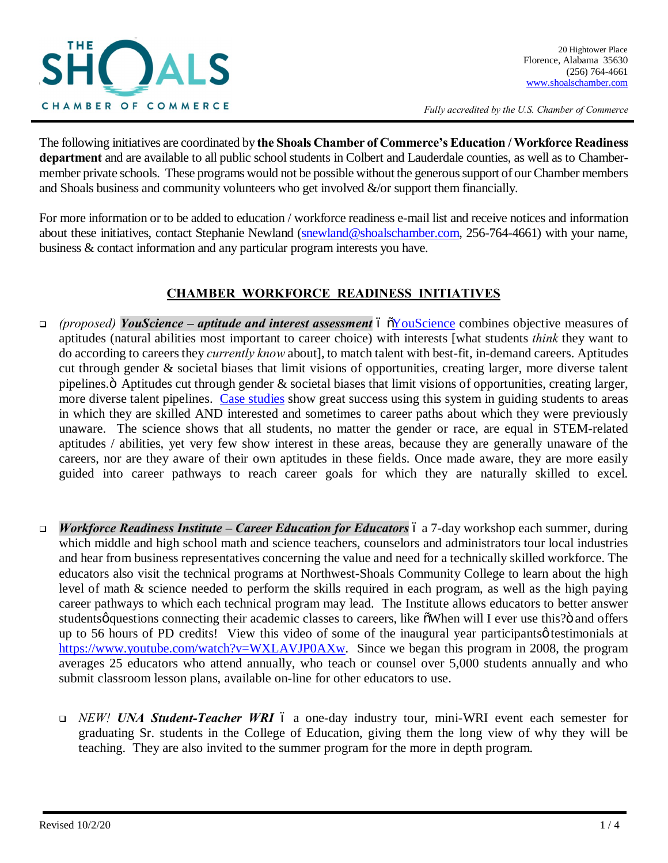

*Fully accredited by the U.S. Chamber of Commerce*

The following initiatives are coordinated by **the Shoals Chamber of Commerce's Education / Workforce Readiness department** and are available to all public school students in Colbert and Lauderdale counties, as well as to Chambermember private schools. These programs would not be possible without the generous support of our Chamber members and Shoals business and community volunteers who get involved  $\&$ /or support them financially.

For more information or to be added to education / workforce readiness e-mail list and receive notices and information about these initiatives, contact Stephanie Newland (snewland@shoalschamber.com, 256-764-4661) with your name, business & contact information and any particular program interests you have.

## **CHAMBER WORKFORCE READINESS INITIATIVES**

- <sup>q</sup> *(proposed) YouScience – aptitude and interest assessment* "YouScience combines objective measures of aptitudes (natural abilities most important to career choice) with interests [what students *think* they want to do according to careers they *currently know* about], to match talent with best-fit, in-demand careers. Aptitudes cut through gender & societal biases that limit visions of opportunities, creating larger, more diverse talent pipelines. $\ddot{o}$  Aptitudes cut through gender  $\&$  societal biases that limit visions of opportunities, creating larger, more diverse talent pipelines. Case studies show great success using this system in guiding students to areas in which they are skilled AND interested and sometimes to career paths about which they were previously unaware. The science shows that all students, no matter the gender or race, are equal in STEM-related aptitudes / abilities, yet very few show interest in these areas, because they are generally unaware of the careers, nor are they aware of their own aptitudes in these fields. Once made aware, they are more easily guided into career pathways to reach career goals for which they are naturally skilled to excel.
- *Workforce Readiness Institute Career Education for Educators* 6 a 7-day workshop each summer, during which middle and high school math and science teachers, counselors and administrators tour local industries and hear from business representatives concerning the value and need for a technically skilled workforce. The educators also visit the technical programs at Northwest-Shoals Community College to learn about the high level of math & science needed to perform the skills required in each program, as well as the high paying career pathways to which each technical program may lead. The Institute allows educators to better answer studentsø questions connecting their academic classes to careers, like  $\tilde{\text{o}}$ When will I ever use this? $\tilde{\text{o}}$  and offers up to 56 hours of PD credits! View this video of some of the inaugural year participants  $\phi$  testimonials at https://www.youtube.com/watch?v=WXLAVJP0AXw. Since we began this program in 2008, the program averages 25 educators who attend annually, who teach or counsel over 5,000 students annually and who submit classroom lesson plans, available on-line for other educators to use.
	- **□** *NEW! UNA Student-Teacher WRI* 6 a one-day industry tour, mini-WRI event each semester for graduating Sr. students in the College of Education, giving them the long view of why they will be teaching. They are also invited to the summer program for the more in depth program.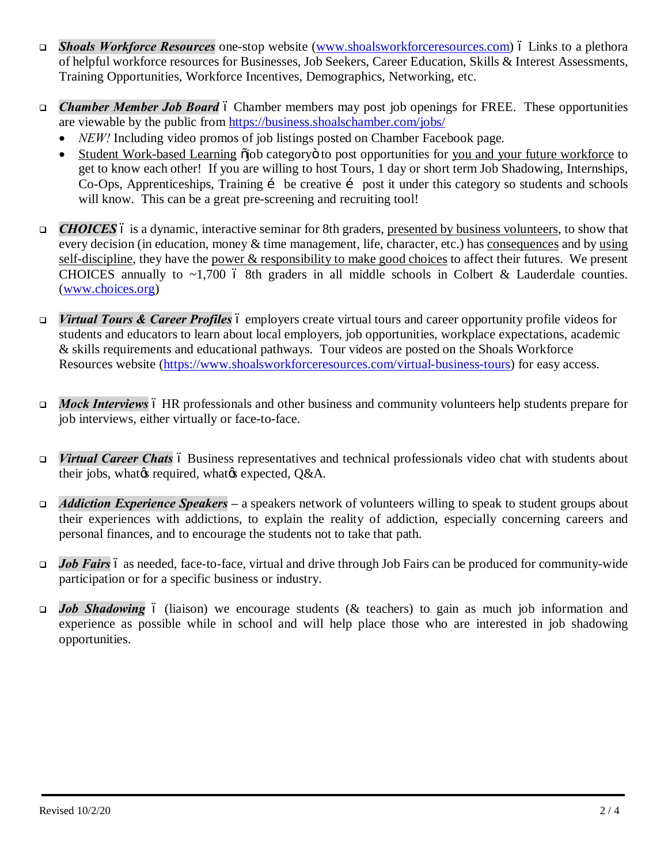- **□** *Shoals Workforce Resources* one-stop website (www.shoalsworkforceresources.com) 6 Links to a plethora of helpful workforce resources for Businesses, Job Seekers, Career Education, Skills & Interest Assessments, Training Opportunities, Workforce Incentives, Demographics, Networking, etc.
- **□** *Chamber Member Job Board* 6 Chamber members may post job openings for FREE. These opportunities are viewable by the public from https://business.shoalschamber.com/jobs/
	- NEW! Including video promos of job listings posted on Chamber Facebook page.
	- Student Work-based Learning  $\ddot{\rm o}$  is category to post opportunities for you and your future workforce to get to know each other! If you are willing to host Tours, 1 day or short term Job Shadowing, Internships, Co-Ops, Apprenticeships, Training i be creative i post it under this category so students and schools will know. This can be a great pre-screening and recruiting tool!
- **□** *CHOICES* 6 is a dynamic, interactive seminar for 8th graders, presented by business volunteers, to show that every decision (in education, money & time management, life, character, etc.) has consequences and by using self-discipline, they have the power & responsibility to make good choices to affect their futures. We present CHOICES annually to  $\sim$ 1,700 6 8th graders in all middle schools in Colbert & Lauderdale counties. (www.choices.org)
- *Virtual Tours & Career Profiles* 6 employers create virtual tours and career opportunity profile videos for students and educators to learn about local employers, job opportunities, workplace expectations, academic & skills requirements and educational pathways. Tour videos are posted on the Shoals Workforce Resources website (https://www.shoalsworkforceresources.com/virtual-business-tours) for easy access.
- *Mock Interviews* 6 HR professionals and other business and community volunteers help students prepare for job interviews, either virtually or face-to-face.
- *virtual Career Chats* 6 Business representatives and technical professionals video chat with students about their jobs, what *is* required, what *is* expected, Q&A.
- <sup>q</sup> *Addiction Experience Speakers* **–** a speakers network of volunteers willing to speak to student groups about their experiences with addictions, to explain the reality of addiction, especially concerning careers and personal finances, and to encourage the students not to take that path.
- *Job Fairs* 6 as needed, face-to-face, virtual and drive through Job Fairs can be produced for community-wide participation or for a specific business or industry.
- <sup>q</sup> *Job Shadowing* (liaison) we encourage students (& teachers) to gain as much job information and experience as possible while in school and will help place those who are interested in job shadowing opportunities.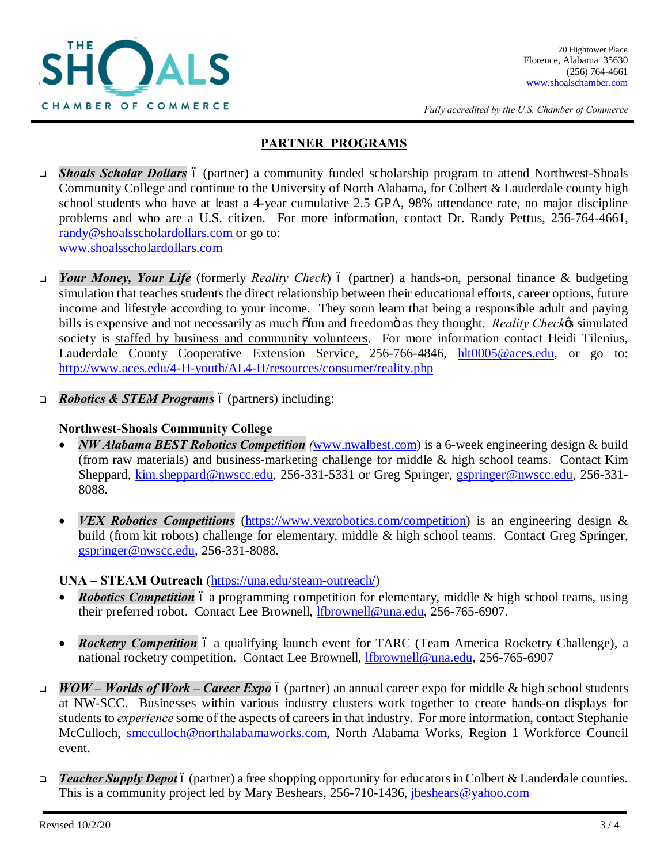

*Fully accredited by the U.S. Chamber of Commerce*

## **PARTNER PROGRAMS**

- **Shoals Scholar Dollars** 6 (partner) a community funded scholarship program to attend Northwest-Shoals Community College and continue to the University of North Alabama, for Colbert & Lauderdale county high school students who have at least a 4-year cumulative 2.5 GPA, 98% attendance rate, no major discipline problems and who are a U.S. citizen. For more information, contact Dr. Randy Pettus, 256-764-4661, randy@shoalsscholardollars.com or go to: www.shoalsscholardollars.com
- *Your Money, Your Life* (formerly *Reality Check*) 6 (partner) a hands-on, personal finance & budgeting simulation that teaches students the direct relationship between their educational efforts, career options, future income and lifestyle according to your income. They soon learn that being a responsible adult and paying bills is expensive and not necessarily as much  $\delta$ fun and freedomö as they thought. *Reality Checke*'s simulated society is staffed by business and community volunteers. For more information contact Heidi Tilenius, Lauderdale County Cooperative Extension Service, 256-766-4846, hlt0005@aces.edu, or go to: http://www.aces.edu/4-H-youth/AL4-H/resources/consumer/reality.php
- *Robotics & STEM Programs*  $\acute{o}$  (partners) including:

## **Northwest-Shoals Community College**

- · *NW Alabama BEST Robotics Competition (*www.nwalbest.com) is a 6-week engineering design & build (from raw materials) and business-marketing challenge for middle & high school teams. Contact Kim Sheppard, kim.sheppard@nwscc.edu, 256-331-5331 or Greg Springer, gspringer@nwscc.edu, 256-331- 8088.
- *VEX Robotics Competitions* (https://www.vexrobotics.com/competition) is an engineering design & build (from kit robots) challenge for elementary, middle & high school teams. Contact Greg Springer, gspringer@nwscc.edu, 256-331-8088.

## **UNA – STEAM Outreach** (https://una.edu/steam-outreach/)

- *Robotics Competition* 6 a programming competition for elementary, middle & high school teams, using their preferred robot. Contact Lee Brownell, lfbrownell@una.edu, 256-765-6907.
- *Rocketry Competition* 6 a qualifying launch event for TARC (Team America Rocketry Challenge), a national rocketry competition. Contact Lee Brownell, **Ifbrownell@una.edu**, 256-765-6907
- <sup>q</sup> *WOW – Worlds of Work – Career Expo* (partner) an annual career expo for middle & high school students at NW-SCC. Businesses within various industry clusters work together to create hands-on displays for students to *experience* some of the aspects of careers in that industry. For more information, contact Stephanie McCulloch, smcculloch@northalabamaworks.com, North Alabama Works, Region 1 Workforce Council event.
- *Teacher Supply Depot* 6 (partner) a free shopping opportunity for educators in Colbert & Lauderdale counties. This is a community project led by Mary Beshears, 256-710-1436, jbeshears@yahoo.com